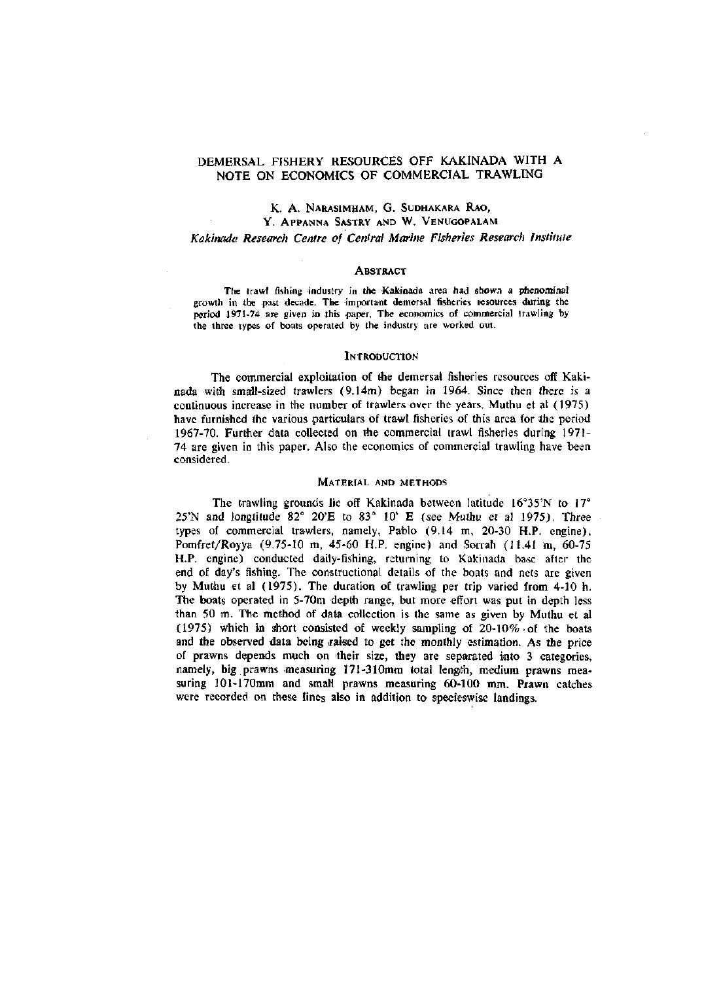# DEMERSAL FISHERY RESOURCES OFF KAKINADA WITH A NOTE ON ECONOMICS OF COMMERCIAL TRAWLING

## K. A. NARASIMHAM, G. SUDHAKARA RAO, Y. APPANNA SASTRY AND W. VENUGOPALAM

## *Kakinada Research Centre of Central Marine Fisheries Research Institute*

#### **ABSTRACT**

The trawl fishing industry in the Kakinada area had shown a phenominal growth in the past decade. The important demersal fisheries resources during the period 1971-74 are given in this paper. The economics of commercial trawling by the three types of boats operated by the industry are worked out.

#### **INTRODUCTION**

The commercial exploitation of the demersal fisheries resources off Kakinada with small-sized trawlers (9.14m) began in 1964. Since then there is a continuous increase in the number of trawlers over the years. Muthu et al (1975) have furnished the various particulars of trawl fisheries of this area for the period 1967-70. Further data collected on the commercial trawl fisheries during 1971- 74 are given in this paper. Also the economics of commercial trawling have been considered.

### MATERIAL AND METHODS

The trawling grounds lie off Kakinada between latitude  $16^{\circ}35'N$  to  $17^{\circ}$ 25'N and iongtitude 82° 20'E to 83° 10' E (see Muthu et al 1975). Three types of commercial trawlers, namely, Pablo (9.14 m, 20-30 H.P. engine), Pomfret/Royya (9.75-10 m, 45-60 H.P. engine) and Sorrah (11.41 m, 60-75 H.P. engine) conducted daily-fishing, returning to Kakinada base after the end of day's fishing. The constructional details of the boats and nets are given by Muthu et al (1975). The duration of trawling per trip varied from 4-10 h. The boats operated in 5-70m depth range, but more effort was put in depth less than 50 m. The method of data collection is the same as given by Muthu et al (1975) which in short consisted of weekly sampling of 20-10%-of the boats and the observed data being raised to get the monthly estimation. As the price of prawns depends much on 'their size, they are separated into 3 categories, namely, big prawns measuring 171-310mm total length, medium prawns measuring 101-170mm and small prawns measuring 60-100 mm. Prawn catches were recorded on these lines also in addition to specieswise landings.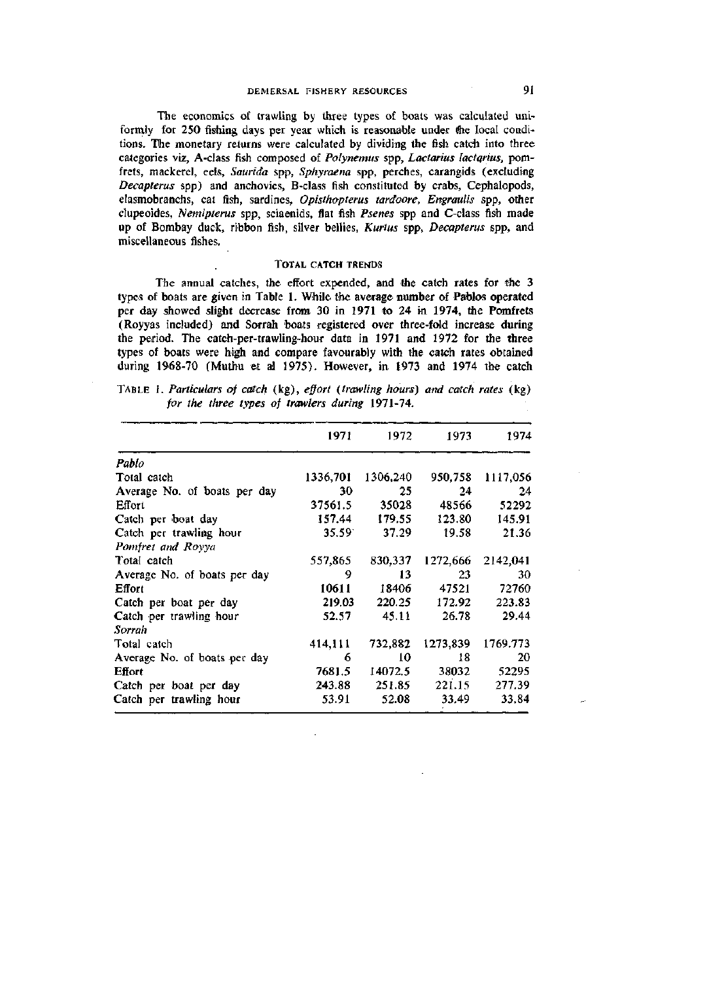## DEMERSAL FISHERY RESOURCES 91

The economics of trawling by three types of boats was calculated uniformly for 250 fishing days per year which is reasonable under the local conditions. The monetary returns were calculated by dividing the fish catch into three categories viz, A-class fish composed of *Polynemus* spp, *Lactarius lactarius*, pomfrets, mackerel, eels, *Saurida* spp, *Sphyraena* spp, perches, carangids (excluding *Decaptems* spp) and anchovies, B-class fish constituted by crabs, Cephalopods, elasmobranchs, cat fish, sardines, *Opisthopterus tardoore, Engraulis* spp, other clupeoides, *Nemipterus* spp, sciaenids, flat fish *Psenes* spp and C-class fish made up of Bombay duck, ribbon fish, silver bellies, *Kurtus* spp, *Decaptems* spp, and miscellaneous fishes.

### TOTAL CATCH TRENDS

The annual catches, the effort expended, and the catch rates for the 3 types of boats are given in Table 1. While the average number of Pablos operated per day showed slight decrease from 30 in 1971 to 24 in 1974, the Pomfrets (Royyas included) and Sorrah boats registered over three-fold increase during the period. The catch-per-trawling-hour data in 1971 and 1972 for the three types of boats were high and compare favourably with the catch rates obtained during 1968-70 (Muthu et al 1975). However, in 1973 and 1974 the catch

TABLE 1. *Particulars of catch* (kg), *effort {trawling hours) and catch rates* (kg) *for the three types of trawlers during* 1971-74.

|                              | 1971            | 1972     | 1973     | 1974     |
|------------------------------|-----------------|----------|----------|----------|
| Pablo                        |                 |          |          |          |
| Total catch                  | 1336,701        | 1306,240 | 950,758  | 1117,056 |
| Average No. of boats per day | 30              | 25       | 24       | 24       |
| Effort                       | 37561.5         | 35028    | 48566    | 52292    |
| Catch per boat day           | 157.44          | 179.55   | 123.80   | 145.91   |
| Catch per trawling hour      | $35.59^{\circ}$ | 37.29    | 19.58    | 21.36    |
| Pomfret and Royya            |                 |          |          |          |
| Total catch                  | 557,865         | 830,337  | 1272,666 | 2142,041 |
| Average No. of boats per day | 9               | 13       | 23       | 30       |
| Effort                       | 10611           | 18406    | 47521    | 72760    |
| Catch per boat per day       | 219.03          | 220.25   | 172.92   | 223.83   |
| Catch per trawling hour      | 52.57           | 45.11    | 26.78    | 29.44    |
| Sorrah                       |                 |          |          |          |
| Total catch                  | 414,111         | 732,882  | 1273,839 | 1769.773 |
| Average No. of boats per day | 6               | 10       | 18       | 20       |
| Effort                       | 7681.5          | 14072.5  | 38032    | 52295    |
| Catch per boat per day       | 243.88          | 251.85   | 221.15   | 277.39   |
| Catch per trawling hour      | 53.91           | 52.08    | 33.49    | 33.84    |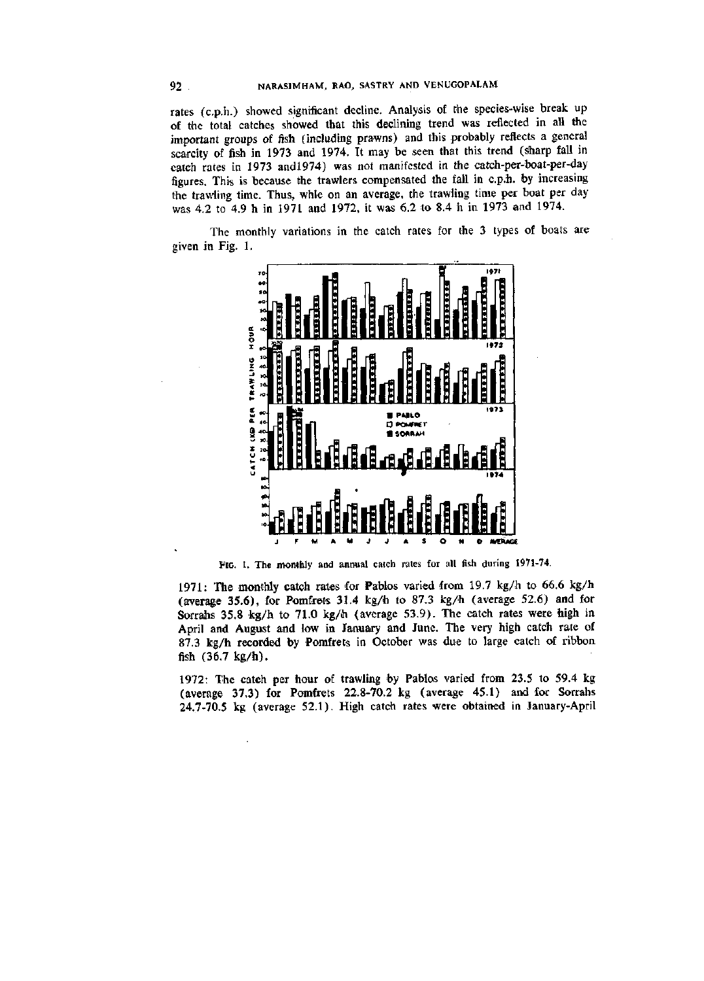rates (c.p.h.) showed significant decline. Analysis of the species-wise break up of the total catches showed that this declining trend was reflected in all the important groups of fish (including prawns) and this probably reflects a general scarcity of fish in 1973 and 1974. It may be seen that this trend (sharp fall in catch rates in 1973 andl974) was not manifested in the catch-per-boat-per-day figures. This is because the trawlers compensated the fall in c.p.h. by increasing the trawling time. Thus, whle on an average, the trawling time per boat per day was 4.2 to 4.9 h in 1971 and 1972, it was 6.2 to 8.4 h in 1973 and 1974.

The monthly variations in the catch rates for the 3 types of boats are given in Fig. 1.



FIG. 1. The monthly and annual catch rates for all fish during 1971-74.

1971: The monthly catch rates for Pablos varied from 19.7 kg/h to 66.6 kg/h (average 35.6), for Pomfrets 31.4 kg/h to 87.3 kg/h (average 52.6) and for Sorrahs 35.8 kg/h to 71.0 kg/h (average 53.9). The catch rates were high in April and August and low in January and June. The very high catch rate of 87.3 kg/h recorded by Pomfrets in October was due to large catch of ribbon fish (36.7 kg/h).

1972: The catch per hour of trawling by Pablos varied from 23.5 to 59.4 kg (average 37.3) for Pomfrets 22.8-70.2 kg (average 45.1) and for Sorrahs 24.7-70.5 kg (average 52.1). High catch rates were obtained in January-April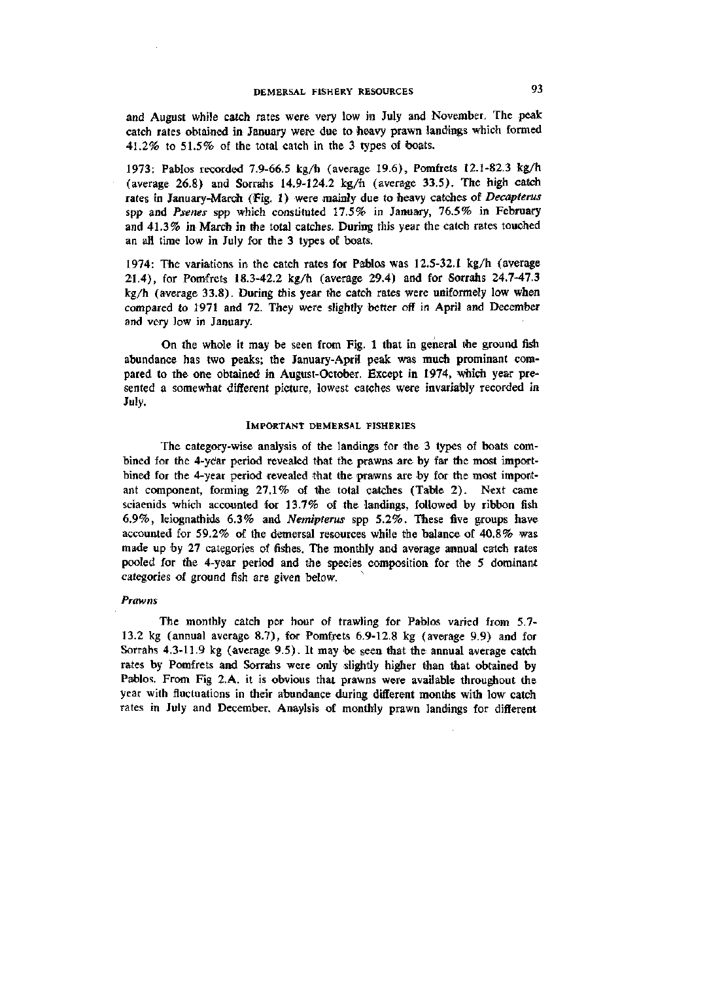and August while catch rates were very low in July and November. The peak catch rates obtained in January were due to heavy prawn landings which formed 41.2% to 51.5% of the total catch in the 3 types of boats.

1973: Pablos recorded 7.9-66.5 kg/h (average 19.6), Pomfrets 12.1-82.3 kg/h (average 26.8) and Sorrahs 14.9-124.2 kg/h (average 33.5). The high catch rates in January-March (Fig. 1) were mainly due to heavy catches of *Decapterus*  spp and *Psenes* spp which constituted 17.5% in January, 76.5% in February and 41.3% in March in the total catches. During this year the catch rates touched an all time low in July for the 3 types of boats.

1974: The variations in the catch rates for Pablos was 12.5-32.1 kg/h (average 21.4), for Pomfrets 18.3-42.2 kg/h (average 29.4) and for Sorrahs 24.7-47.3 kg/h (average 33.8). During this year the catch rates were uniformely low when compared to 1971 and 72. They were slightly better off in April and December and very low in January.

On the whole it may be seen from Fig. 1 that in general the ground fish abundance has two peaks; the January-April peak was much prominant compared to the one obtained in August-October. Except in 1974, which year presented a somewhat different picture, lowest catches were invariably recorded in July.

#### IMPORTANT DEMERSAL FISHERIES

The category-wise analysis of the landings for the 3 types of boats combined for the 4-year period revealed that the prawns are by far the most importbined for the 4-year period revealed that the prawns are by for the most important component, forming 27.1% of the total catches (Table 2). Next came sciaenids which accounted for 13.7% of the landings, followed by ribbon fish 6.9%, leiognathids 6.3% and *Nemipterus* spp 5.2%. These five groups have accounted for 59.2% of the demersal resources while the balance of 40.8% was made up by 27 categories of fishes. The monthly and average annual catch rates pooled for the 4-year period and the species composition for the 5 dominant categories of ground fish are given below.

### *Prawns*

The monthly catch per hour of trawling for Pablos varied from 5.7- 13.2 kg (annual average 8.7), for Pomfrets 6.9-12.8 kg (average 9.9) and for Sorrahs 4.3-11.9 kg (average 9.5). It may be seen that the annual average catch rates by Pomfrets and Sorrahs were only slightly higher than that obtained by Pablos. From Fig 2.A. it is obvious that prawns were available throughout the year with fluctuations in their abundance during different months with low catch rates in July and Deeember. Anaylsis of monthly prawn landings for different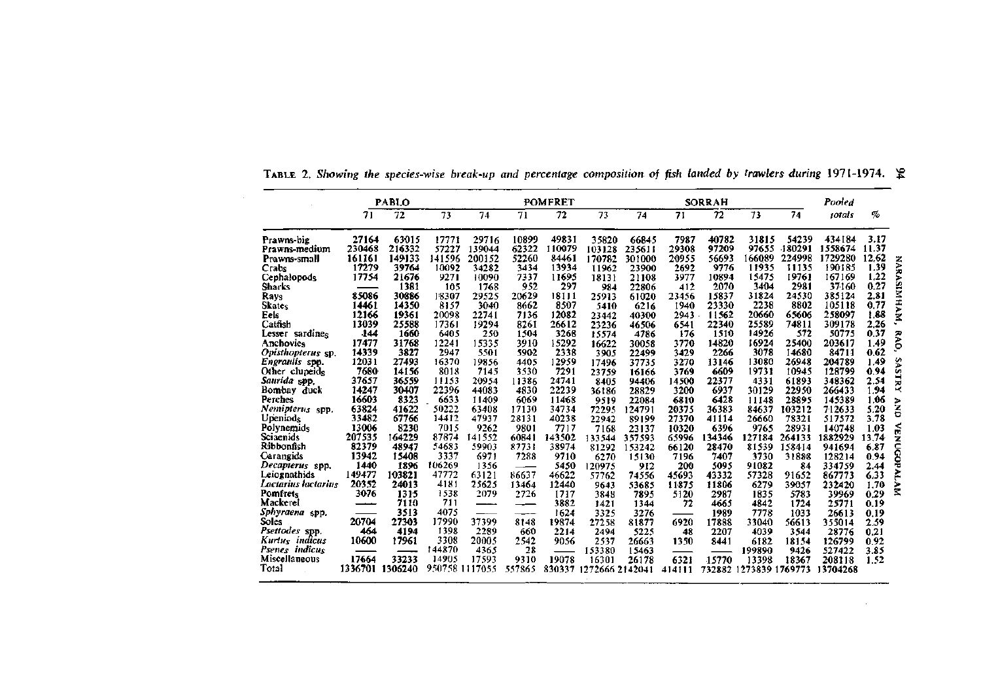|                        |         | <b>PABLO</b>    |                |        |        | <b>POMFRET</b> |                 |        |        | <b>SORRAH</b> |         |         | Pooled        |       |                    |
|------------------------|---------|-----------------|----------------|--------|--------|----------------|-----------------|--------|--------|---------------|---------|---------|---------------|-------|--------------------|
|                        | 71      | $\overline{72}$ | 73             | 74     | 71     | 72             | 73              | 74     | 71     | 72            | 73      | 74      | <i>iotals</i> | %     |                    |
| Prawns-big             | 27164   | 63015           | 17771          | 29716  | 10899  | 49831          | 35820           | 66845  | 7987   | 40782         | 31815   | 54239   | 434184        | 3.17  |                    |
| Prawns-medium          | 230468  | 216332          | 57227          | 139044 | 62322  | 110079         | 103128          | 235611 | 29308  | 97209         | 97655   | -180291 | 1558674       | 11.37 |                    |
| Prawns-small           | 161161  | 149133          | 141596         | 200152 | 52260  | 84461          | 170782          | 301000 | 20955  | 56693         | 166089  | 224998  | 1729280       | 12.62 |                    |
| Crabs                  | 17279   | 39764           | 10092          | 34282  | 3434   | 13934          | 11962           | 23900  | 2692   | 9776          | 11935   | 11135   | 190185        | 1.39  | <b>NARASIMHAM,</b> |
| Cephalopods            | 17754   | 21676           | 9271           | 10090  | 7337   | 11695          | 18131           | 21108  | 3977   | 10894         | 15475   | 19761   | 167169        | 1.22  |                    |
| Sharks                 |         | 1381            | 105            | 1768   | 952    | 297            | 984             | 22806  | 412    | 2070          | 3404    | 2981    | 37160         | 0.27  |                    |
| Rays                   | 85086   | 30886           | 18307          | 29525  | 20629  | 18111          | 25913           | 61020  | 23456  | 15837         | 31824   | 24530   | 385124        | 2.81  |                    |
| <b>Skates</b>          | 14461   | 14350           | 8157           | 3040   | 8662   | 8507           | 5410            | 6216   | 1940   | 23330         | 2238    | 8802    | 105118        | 0.77  |                    |
| Eels                   | 12166   | 19361           | 20098          | 22741  | 7136   | 12082          | 23442           | 40300  | 2943   | 11562         | 20660   | 65606   | 258097        | 1.88  |                    |
| Catfish                | 13039   | 25588           | 17361          | 19294  | 8261   | 26612          | 23236           | 46506  | 6541   | 22340         | 25589   | 74811   | 309178        | 2.26  |                    |
| Lesser sardines        | -144    | 1660            | 6405           | 250    | 1504   | 3268           | 15574           | 4786   | 176    | 1510          | 14926   | 572     | 50775         | 0.37  | RAO,               |
| Anchovies              | 17477   | 31768           | 12241          | 15335  | 3910   | 15292          | 16622           | 30058  | 3770   | 14820         | 16924   | 25400   | 203617        | 1.49  |                    |
| Opisthopterus sp.      | 14339   | 3827            | 2947           | 5501   | 5902   | 2338           | 3905            | 22499  | 3429   | 2266          | 3078    | 14680   | 84711         | 0.62  |                    |
| Engraulis spp.         | 12031   | 27493           | 16370          | 19856  | 4405   | 12959          | 17496           | 37735  | 3270   | 13146         | 13080   | 26948   | 204789        | 1.49  |                    |
| Other clupeids         | 7680    | 14156           | 8018           | 7145   | 3530   | 7291           | 23759           | 16166  | 3769   | 6609          | 19731   | 10945   | 128799        | 0.94  | SASTRY             |
| Saurida spp.           | 37657   | 36559           | 11153          | 20954  | 11386  | 24741          | 8405            | 94406  | 14500  | 22377         | 4331    | 61893   | 348362        | 2.54  |                    |
| Bombay duck            | 14247   | 30407           | 22396          | 44083  | 4830   | 22239          | 36186           | 28829  | 3200   | 6937          | 30129   | 22950   | 266433        | 1.94  |                    |
| Perches                | 16603   | 8323            | 6633           | 11409  | 6069   | 11468          | 9519            | 22084  | 6810   | 6428          | 11148   | 28895   | 145389        | 1.06  | Þ                  |
| Nemipterus spp.        | 63824   | 41622           | 50222          | 63408  | 17130  | 34734          | 72295           | 124791 | 20375  | 36383         | 84637   | 103212  | 712633        | 5.20  | š                  |
| Upeniods               | 33482   | 67766           | 14412          | 47937  | 28131  | 40238          | 22942           | 89199  | 27370  | 41114         | 26660   | 78321   | 517572        | 3.78  |                    |
| Polynemids             | 13006   | 8230            | 7015           | 9262   | 9801   | 7717           | 7168            | 23137  | 10320  | 6396          | 9765    | 28931   | 140748        | 1.03  | á                  |
| Sciaenids              | 207535  | 164229          | 87874          | 141552 | 60841  | 143502         | 133544          | 357593 | 65996  | 134346        | 127184  | 264133  | 1882929       | 13.74 |                    |
| Ribbonfish             | 82379   | 48947           | 54683          | 59903  | 87731  | 38974          | 81292           | 153242 | 66120  | 28470         | 81539   | 158414  | 941694        | 6.87  | NUCOP              |
| Carangids              | 13942   | 15408           | 3337           | 6971   | 7288   | 9710           | 6270            | 15130  | 7196   | 7407          | 3730    | 31888   | 128214        | 0.94  |                    |
| <i>Decapterus</i> spp. | 1440    | 1896            | 106269         | 1356   |        | 5450           | 120975          | 912    | 200    | 5095          | 91082   | 84      | 334759        | 2.44  |                    |
| Leiognathids           | 149477  | 103821          | 47772          | 63121  | 86637  | 46622          | 57762           | 74556  | 45693  | 43332         | 57328   | 91652   | 867773        | 6.33  |                    |
| Lactarius lactarius    | 20352   | 24013           | 4181           | 25625  | 13464  | 12440          | 9643            | 53685  | 11875  | 11806         | 6279    | 39057   | 232420        | 1.70  | MYTY               |
| Pomfrets               | 3076    | 1315            | 1538           | 2079   | 2726   | 1717           | 3848            | 7895   | 5120   | 2987          | 1835    | 5783    | 39969         | 0.29  |                    |
| Mackerei               |         | 7110            | 711            | ————   | ——     | 3882           | 1421            | 1344   | 72     | 4665          | 4842    | 1724    | 25771         | 0.19  |                    |
| Sphyraena spp.         |         | 3513            | 4075           |        |        | 1624           | 3325            | 3276   |        | 1989          | 7778    | 1033    | 26613         | 0.19  |                    |
| Soles                  | 20704   | 27303           | 17990          | 37399  | 8148   | 19874          | 27258           | 81877  | 6920   | 17888         | 33040   | 56613   | 355014        | 2.59  |                    |
| Psettodes spp.         | 464     | 4194            | 1398           | 2289   | 660    | 2214           | 2494            | 5225   | 48     | 2207          | 4039    | 3544    | 28776         | 0.21  |                    |
| Kurtus indicus         | 10600   | 17961           | 3308           | 20005  | 2542   | 9056           | 2537            | 26663  | 1350   | 8441          | 6182    | 18154   | 126799        | 0.92  |                    |
| Psenes indicus         |         |                 | 144870         | 4365   | 28     |                | 153380          | 15463  |        |               | 199890  | 9426    | 527422        | 3.85  |                    |
| Miscellaneous          | 17664   | 33233           | 14905          | 17593  | 9310   | 19078          | 16301           | 26178  | 6321   | 15770         | 13398   | 18367   | 208118        | 1.52  |                    |
| Total                  | 1336701 | 1306240         | 950758 1117055 |        | 557865 | 830337         | 1272666 2142041 |        | 414111 | 732882        | 1273839 | 1769773 | 13704268      |       |                    |

 $\sim 100$ 

TABLE 2. Showing the species-wise break-up and percentage composition of fish landed by trawlers during 1971-1974.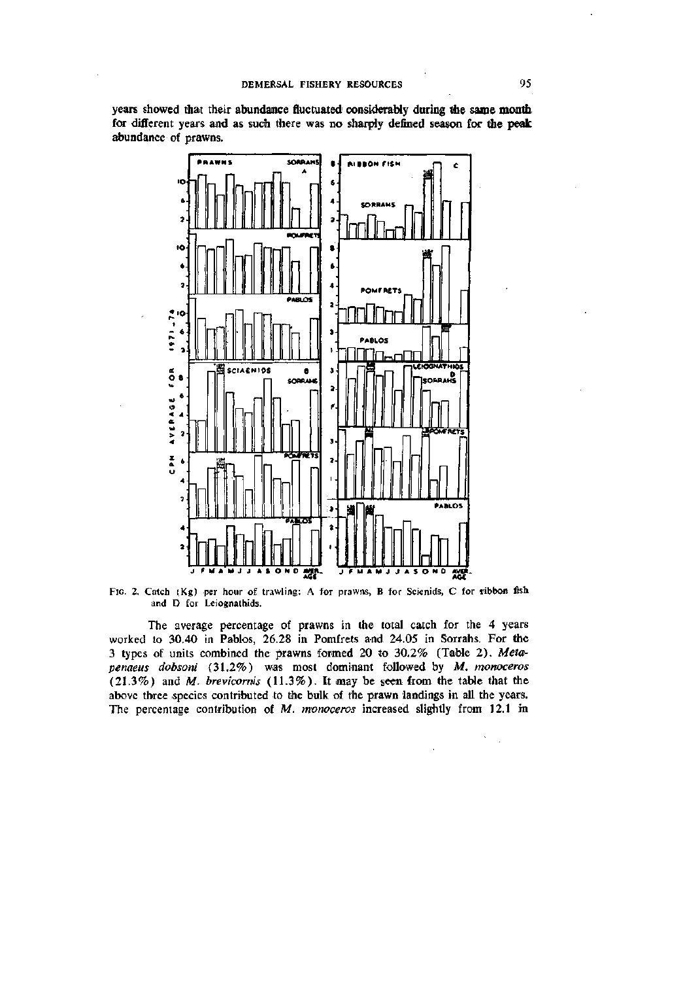years showed that their abundance fluctuated considerably during the same month for different years and as such there was no sharply defined season for the peak abundance of prawns.



FIG. 2. Catch (Kg) per hour of trawling: A for prawns, B for Scienids, C for ribbon fish and D for Leiognathids.

The average percentage of prawns in the total catch for the 4 years worked to 30.40 in Pablos, 26.28 in Pomfrets and 24.05 in Sorrahs. For the 3 types of units combined the prawns formed 20 to 30.2% (Table 2). *Meta^ penaeus dobsoni* (31.2%) was most dominant followed by *M. monoceros*  (21.3%) and M. *brevicorms* (11.3%). It may be seen from the table that the above three species contributed to the bulk of the prawn landings in all the years. The percentage contribution of *M. monoceros* increased slightly from 12.1 in

 $\hat{\mathcal{L}}$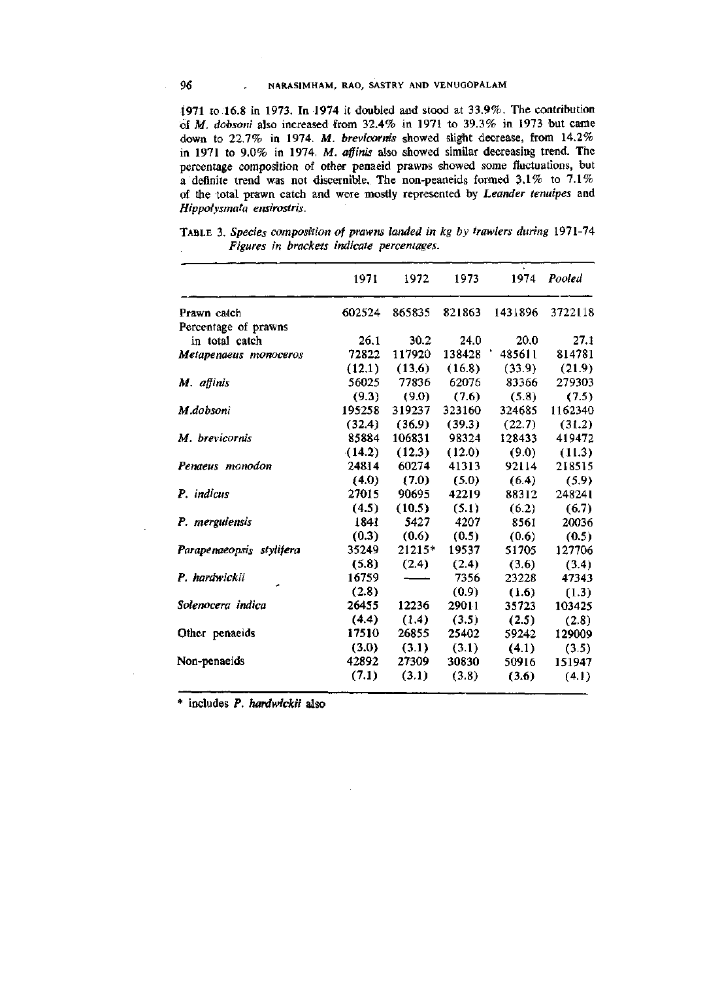1971 to 16.8 in 1973. In 1974 it doubled and stood at 33.9%. The contribution of M. *dobsoni* also increased from 32.4% in 1971 to 39.3% in 1973 but came down to 22.7% in 1974. *M. brevicornis* showed slight decrease, from 14.2% in 1971 to 9.0% in 1974. M. *affinis* also showed similar deoreasing trend. The percentage composition of other penaeid prawns showed some fluctuations, but a definite trend was not discernible. The non-peaneids formed 3.1% to 7.1% of the total prawn catch and were mostly represented by *Leander tenuipes* and *Hippolysmata ensirostris.* 

|                          | 1971   | 1972   | 1973   |         | 1974 Pooled |
|--------------------------|--------|--------|--------|---------|-------------|
| Prawn catch              | 602524 | 865835 | 821863 | 1431896 | 3722118     |
| Percentage of prawns     |        |        |        |         |             |
| in total catch           | 26.1   | 30.2   | 24.0   | 20.0    | 27.1        |
| Metapenaeus monoceros    | 72822  | 117920 | 138428 | 485611  | 814781      |
|                          | (12.1) | (13.6) | (16.8) | (33.9)  | (21.9)      |
| M. affinis               | 56025  | 77836  | 62076  | 83366   | 279303      |
|                          | (9.3)  | (9.0)  | (7.6)  | (5.8)   | (7.5)       |
| M.dobsoni                | 195258 | 319237 | 323160 | 324685  | 1162340     |
|                          | (32.4) | (36.9) | (39.3) | (22.7)  | (31.2)      |
| M. brevicornis           | 85884  | 106831 | 98324  | 128433  | 419472      |
|                          | (14.2) | (12.3) | (12.0) | (9.0)   | (11.3)      |
| Penaeus monodon          | 24814  | 60274  | 41313  | 92114   | 218515      |
|                          | (4.0)  | (7.0)  | (5.0)  | (6.4)   | (5.9)       |
| P. indicus               | 27015  | 90695  | 42219  | 88312   | 248241      |
|                          | (4.5)  | (10.5) | (5.1)  | (6.2)   | (6.7)       |
| P. merguiensis           | 1841   | 5427   | 4207   | 8561    | 20036       |
|                          | (0.3)  | (0.6)  | (0.5)  | (0.6)   | (0.5)       |
| Parapenaeopsis stylifera | 35249  | 21215* | 19537  | 51705   | 127706      |
|                          | (5.8)  | (2.4)  | (2.4)  | (3.6)   | (3.4)       |
| P. hardwickii            | 16759  |        | 7356   | 23228   | 47343       |
|                          | (2.8)  |        | (0.9)  | (1.6)   | (1.3)       |
| Solenocera indica        | 26455  | 12236  | 29011  | 35723   | 103425      |
|                          | (4.4)  | (1.4)  | (3.5)  | (2.5)   | (2.8)       |
| Other penaeids           | 17510  | 26855  | 25402  | 59242   | 129009      |
|                          | (3.0)  | (3.1)  | (3.1)  | (4.1)   | (3.5)       |
| Non-penaeids             | 42892  | 27309  | 30830  | 50916   | 151947      |
|                          | (7.1)  | (3.1)  | (3.8)  | (3.6)   | (4.1)       |
|                          |        |        |        |         |             |

TABLE 3. *Species composition of prawns landed in kg by trawlers during* 1971-74 *Figures in brackets indicate percentages.* 

\* includes P. *hardwickii* also

 $\hat{\mathcal{L}}$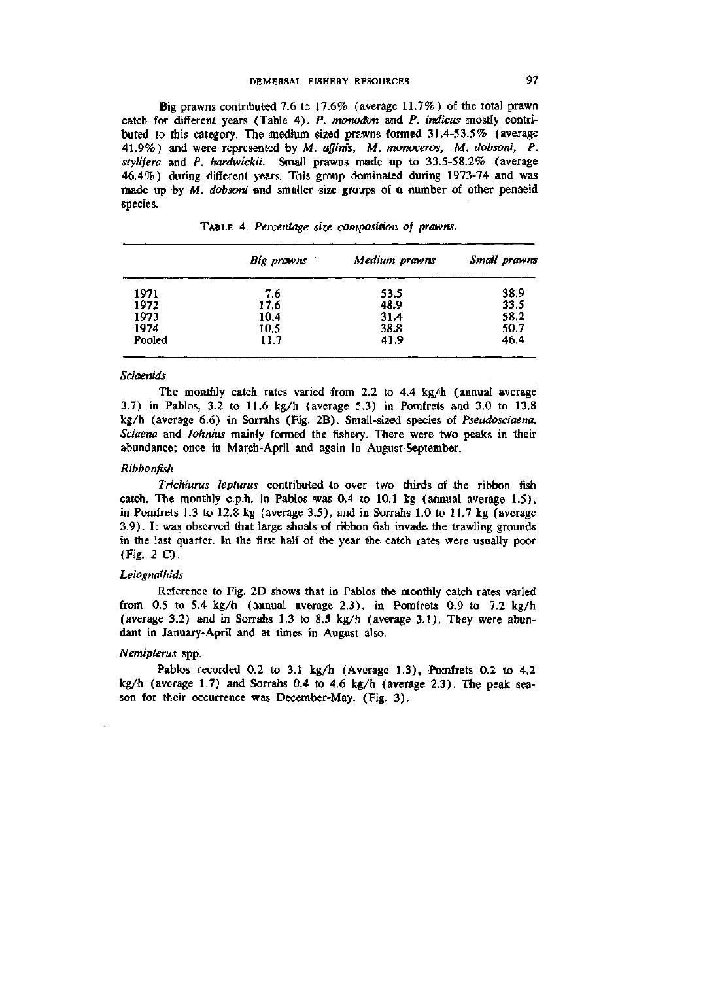# DEMERSAL FISHERY RESOURCES 97

Big prawns contributed 7.6 to 17.6% (average 11.7%) of the total prawn catch for different years (Table 4). P. *monodon* and P. *indicus* mostly contributed to this category. The medium sized prawns formed 31.4-53.5% (average 41.9%) and were represented by M. *affinis, M. monoceros, M. dobsoni, P. stylifera* and P. *hardwickii.* Small prawns miade up to 33.5-58.2% (average *A(iA%)* during different years. This group dominated during 1973-74 and was made up by *M. dobsoni* and smaller size groups of a number of other penaeid species.

|        | Big prawns | Medium prawns | Small prawns |  |  |
|--------|------------|---------------|--------------|--|--|
| 1971   | 7.6        | 53.5          | 38.9         |  |  |
| 1972   | 17.6       | 48.9          | 33.5         |  |  |
| 1973   | 10.4       | 31.4          | 58.2         |  |  |
| 1974   | 10.5       | 38.8          | 50.7         |  |  |
| Pooled | 11.7       | 41.9          | 46.4         |  |  |

TABLE 4. *Percentage size composition of prawns.* 

### *Sciaemds*

The monthly catch rates varied from 2.2 to 4.4 kg/h (annual average 3.7) in Pablos, 3.2 to 11.6 kg/h (average 5.3) in Pomfrets and 3.0 to 13.8 kg/h (average 6.6) in Sorrahs (Fig. 2B). Small-sized species of Pseudosciaena, *Sciaena* and *Johnius* mainly formed the fishery. There were two peaks in their abundance; once in March-April and again in August-September.

### *Ribbonfish*

*Trichiurus lepturus* contributed to over two thirds of the ribbon fish catch. The monthly c.p.h. in Pablos was 0.4 to 10.1 kg (annual average 1.5), in Pomfrets 1.3 to 12.8 kg (average 3.5), and in Sorrahs 1.0 to 11.7 kg (average 3.9). It was observed that large shoals of ribbon fish invade the trawling grounds in the last quarter. In the first half of the year the catch rates were usually poor (Fig. 2C).

### *Leiognaihids*

Reference to Fig. 2D shows that in Pablos the monthly catch rates varied from 0.5 to 5.4 kg/h (annual average 2.3), in Pomfrets 0.9 to 7.2 kg/h (average 3.2) and in Sorrahs 1.3 to 8.5 kg/h (average 3.1). They were abundant in January-April and at times in August also.

### *Nemipterus* spp.

Pablos recorded 0.2 to 3.1 kg/h (Average 1.3), Pomfrets 0.2 to 4.2  $kg/h$  (average 1.7) and Sorrahs 0.4 to 4.6 kg/h (average 2.3). The peak season for their occurrence was December-May. (Fig. 3).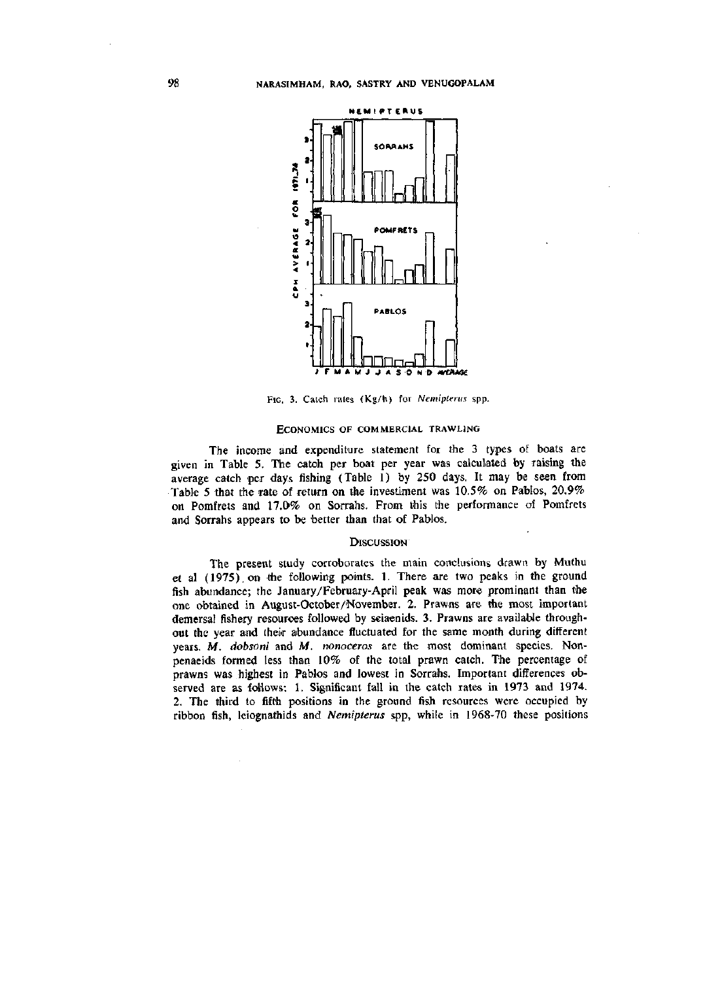

FIG. 3. Catch rates (Kg/h) for *Nemiptenis* spp.

### ECONOMICS OF COMMERCIAL TRAWLING

The income and expenditure statement for the 3 types of boats are given in Table 5. The catoh per boat per year was calculated by raising the average catch per days fishing (Table 1) by 250 days. It may be seen from Table 5 that the rate of return on the investiment was 10.5% on Pablos, 20.9% on Pomfrets and 17.0% on Sorrahs. From this the performance of Pomfrets and Sorrahs appears to be better than that of Pablos.

#### **DISCUSSION**

The present study corroborates the main conclusions drawn by Muthu et al (1975). on the following points. 1. There are two peaks in the ground fish abundance; the January/February-April peak was more prominant than the one obtained in August-October/November. 2. Prawns are the most important demersal fishery resources followed by seiaenids. 3. Prawns are available throughout the year and their abundance fluctuated for the same month during different years. *M. dobsoni* and M. *nonoceros* are the most dominant species. Nonpenaeids formed less than 10% of the total prawn catch. The percentage of prawns was highest in Pablos and lowest in Sorrahs. Important differences observed are as follows: 1. Significant fall in the catch rates in 1973 and 1974. 2. The third to fifth positions in the ground fish resources were occupied by ribbon fish, leiognathids and *Nemipterus* spp, while in 1968-70 these positions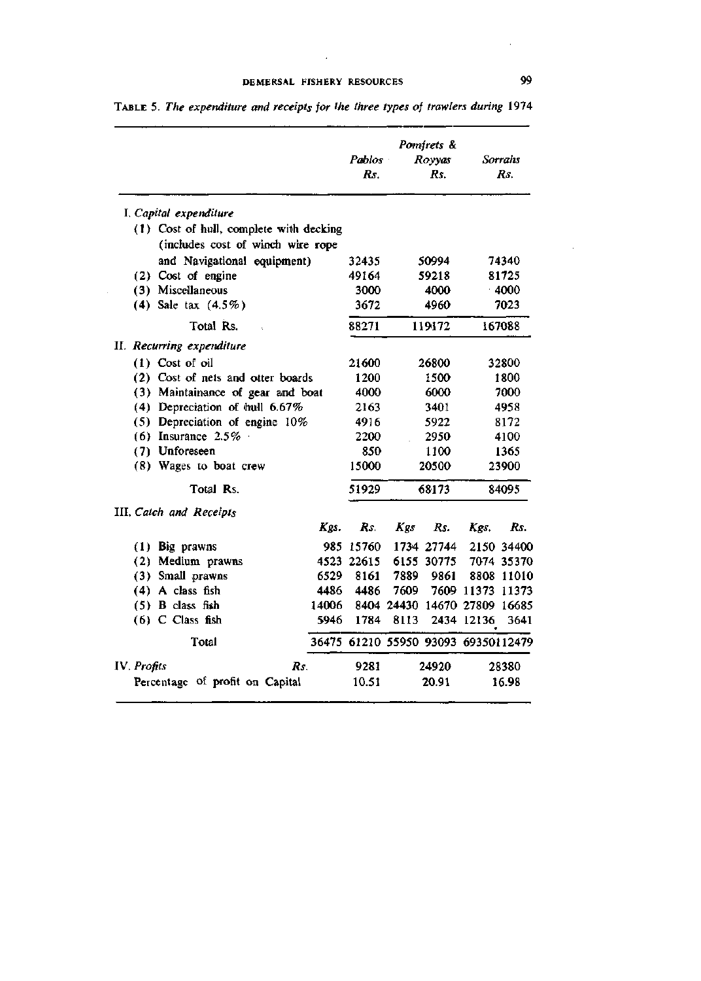$\mathcal{L}$ 

|                                                                              |       | Pablos     | Pomfrets &<br>Royyas | Sorrahs    |                                     |       |  |
|------------------------------------------------------------------------------|-------|------------|----------------------|------------|-------------------------------------|-------|--|
|                                                                              |       | Rs.        |                      | Rs.        |                                     | Rs.   |  |
| I. Capital expenditure                                                       |       |            |                      |            |                                     |       |  |
| (1) Cost of hull, complete with decking<br>(includes cost of winch wire rope |       |            |                      |            |                                     |       |  |
| and Navigational equipment)                                                  |       | 32435      |                      | 50994      |                                     | 74340 |  |
| (2) Cost of engine                                                           |       | 49164      |                      | 59218      |                                     |       |  |
| (3) Miscellaneous                                                            |       | 3000       |                      | 4000       | 81725<br>4000                       |       |  |
| $(4)$ Sale tax $(4.5\%)$                                                     | 3672  |            | 4960                 | 7023       |                                     |       |  |
| Total Rs.                                                                    | 88271 |            | 119172<br>167088     |            |                                     |       |  |
| II. Recurring expenditure                                                    |       |            |                      |            |                                     |       |  |
| $(1)$ Cost of oil                                                            |       | 21600      |                      | 26800      |                                     | 32800 |  |
| (2) Cost of nets and otter boards                                            | 1200  |            | 1500                 | 1800       |                                     |       |  |
| (3) Maintainance of gear and boat                                            | 4000  |            | 6000                 | 7000       |                                     |       |  |
| (4) Depreciation of hull 6.67%                                               | 2163  |            | 3401                 | 4958       |                                     |       |  |
| (5) Depreciation of engine 10%                                               |       |            |                      | 5922       | 8172                                |       |  |
| (6) Insurance $2.5\%$                                                        |       |            |                      | 2950       | 4100                                |       |  |
| (7) Unforeseen<br>(8) Wages to boat crew<br>Total Rs.                        |       |            |                      | 1100       | 1365                                |       |  |
|                                                                              |       |            | 20500                |            |                                     | 23900 |  |
|                                                                              |       |            | 68173                |            | 84095                               |       |  |
| III. Catch and Receipts                                                      |       |            |                      |            |                                     |       |  |
|                                                                              | Kgs.  | Rs.        | Kgs                  | Rs.        | Kgs.                                | Rs.   |  |
| (1) Big prawns                                                               |       | 985 15760  |                      | 1734 27744 | 2150 34400                          |       |  |
| (2) Medium prawns                                                            |       | 4523 22615 |                      | 6155 30775 | 7074 35370                          |       |  |
| (3) Small prawns                                                             | 6529  | 8161       | 7889                 | 9861       | 8808 11010                          |       |  |
| $(4)$ A class fish                                                           |       | 4486 4486  | 7609.                |            | 7609 11373 11373                    |       |  |
| $(5)$ B class fish                                                           | 14006 |            |                      |            | 8404 24430 14670 27809 16685        |       |  |
| $(6)$ C Class fish                                                           | 5946  | 1784       | 8113                 |            | 2434 12136                          | 3641  |  |
| Total                                                                        |       |            |                      |            | 36475 61210 55950 93093 69350112479 |       |  |
| IV. Profits<br>Rs.                                                           |       | 9281       |                      | 24920      |                                     | 28380 |  |
| Percentage of profit on Capital                                              |       | 10.51      |                      |            |                                     | 16.98 |  |

TABLE 5. *The expenditure and receipts for the three types of trawlers during* 1974

L.

 $\mathcal{L}$ 

 $\alpha$